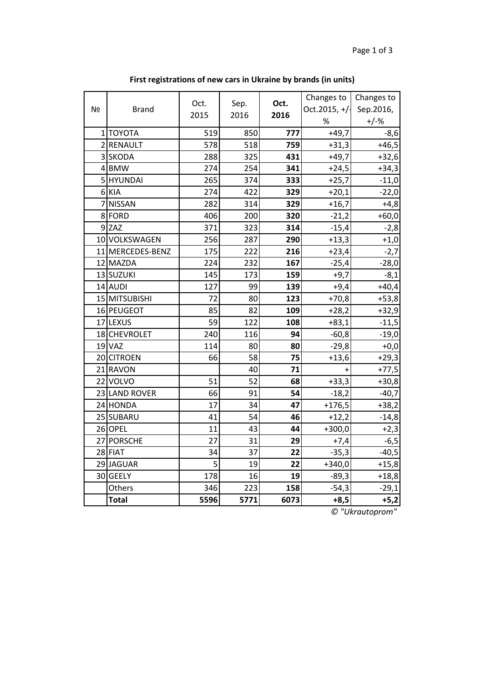| N <sub>Ω</sub> | <b>Brand</b>     | Oct. | Sep. | Oct. | Changes to<br>Oct.2015, $+/$ | Changes to<br>Sep.2016, |
|----------------|------------------|------|------|------|------------------------------|-------------------------|
|                |                  | 2015 | 2016 | 2016 | $\%$                         | $+/-%$                  |
|                | 1 ΤΟΥΟΤΑ         | 519  | 850  | 777  | $-49,7$                      | $-8,6$                  |
|                | 2 RENAULT        | 578  | 518  | 759  | $+31,3$                      | $+46,5$                 |
|                | 3 SKODA          | 288  | 325  | 431  | $+49,7$                      | $+32,6$                 |
|                | 4 BMW            | 274  | 254  | 341  | $+24,5$                      | $+34,3$                 |
|                | 5 HYUNDAI        | 265  | 374  | 333  | $+25,7$                      | $-11,0$                 |
|                | 6 KIA            | 274  | 422  | 329  | $+20,1$                      | $-22,0$                 |
|                | 7 NISSAN         | 282  | 314  | 329  | $+16,7$                      | $+4,8$                  |
|                | 8 FORD           | 406  | 200  | 320  | $-21,2$                      | $+60,0$                 |
|                | $9$ ZAZ          | 371  | 323  | 314  | $-15,4$                      | $-2,8$                  |
|                | 10 VOLKSWAGEN    | 256  | 287  | 290  | $+13,3$                      | $+1,0$                  |
|                | 11 MERCEDES-BENZ | 175  | 222  | 216  | $+23,4$                      | $-2,7$                  |
|                | 12 MAZDA         | 224  | 232  | 167  | $-25,4$                      | $-28,0$                 |
|                | 13 SUZUKI        | 145  | 173  | 159  | $+9,7$                       | $-8,1$                  |
|                | 14 AUDI          | 127  | 99   | 139  | $+9,4$                       | $+40,4$                 |
|                | 15 MITSUBISHI    | 72   | 80   | 123  | $+70,8$                      | $+53,8$                 |
|                | 16 PEUGEOT       | 85   | 82   | 109  | $+28,2$                      | $+32,9$                 |
|                | 17 LEXUS         | 59   | 122  | 108  | $+83,1$                      | $-11,5$                 |
|                | 18 CHEVROLET     | 240  | 116  | 94   | $-60,8$                      | $-19,0$                 |
|                | $19$ VAZ         | 114  | 80   | 80   | $-29,8$                      | $+0,0$                  |
|                | 20 CITROEN       | 66   | 58   | 75   | $+13,6$                      | $+29,3$                 |
|                | 21 RAVON         |      | 40   | 71   |                              | $+77,5$                 |
|                | 22 VOLVO         | 51   | 52   | 68   | $+33,3$                      | $+30,8$                 |
|                | 23 LAND ROVER    | 66   | 91   | 54   | $-18,2$                      | $-40,7$                 |
|                | 24 HONDA         | 17   | 34   | 47   | $+176,5$                     | $+38,2$                 |
|                | 25 SUBARU        | 41   | 54   | 46   | $+12,2$                      | $-14,8$                 |
|                | 26 OPEL          | 11   | 43   | 44   | $+300,0$                     | $+2,3$                  |
|                | 27 PORSCHE       | 27   | 31   | 29   | $+7,4$                       | $-6,5$                  |
|                | 28 FIAT          | 34   | 37   | 22   | $-35,3$                      | $-40,5$                 |
|                | 29 JAGUAR        | 5    | 19   | 22   | $+340,0$                     | $+15,8$                 |
|                | 30 GEELY         | 178  | 16   | 19   | $-89,3$                      | $+18,8$                 |
|                | Others           | 346  | 223  | 158  | $-54,3$                      | $-29,1$                 |
|                | <b>Total</b>     | 5596 | 5771 | 6073 | $+8,5$                       | $+5,2$                  |

**First registrations of new cars in Ukraine by brands (in units)**

*© "Ukrautoprom"*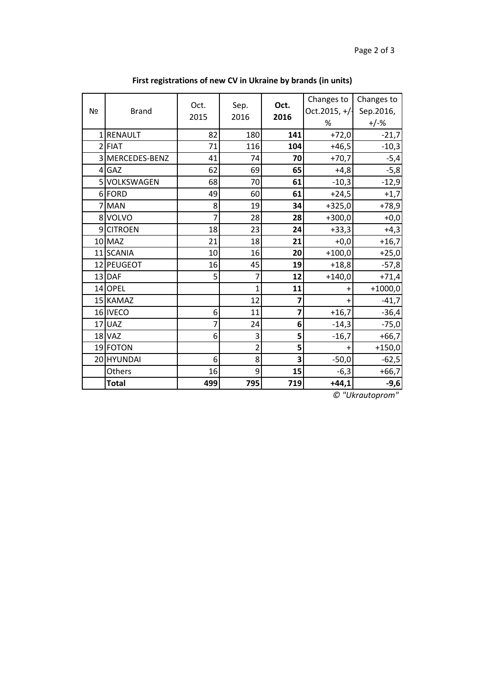| N <u>∘</u>     | <b>Brand</b>      | Oct.<br>2015 | Sep.<br>2016   | Oct.<br>2016 | Changes to<br>Oct. 2015, $+/$<br>% | Changes to<br>Sep.2016,<br>$+/-%$ |
|----------------|-------------------|--------------|----------------|--------------|------------------------------------|-----------------------------------|
| 1 <sup>1</sup> | <b>RENAULT</b>    | 82           | 180            | 141          | $+72,0$                            | $-21,7$                           |
|                | $2$ FIAT          | 71           | 116            | 104          | $+46,5$                            | $-10,3$                           |
| $\overline{3}$ | MERCEDES-BENZ     | 41           | 74             | 70           | $+70,7$                            | $-5,4$                            |
|                | 4 GAZ             | 62           | 69             | 65           | $+4,8$                             | $-5,8$                            |
| 5 <sup>1</sup> | <b>VOLKSWAGEN</b> | 68           | 70             | 61           | $-10,3$                            | $-12,9$                           |
|                | 6 FORD            | 49           | 60             | 61           | $+24,5$                            | $+1,7$                            |
|                | 7 MAN             | 8            | 19             | 34           | $+325,0$                           | $+78,9$                           |
|                | 8 VOLVO           | 7            | 28             | 28           | $+300,0$                           | $+0,0$                            |
| $\overline{9}$ | <b>CITROEN</b>    | 18           | 23             | 24           | $+33,3$                            | $+4,3$                            |
|                | $10$ MAZ          | 21           | 18             | 21           | $+0,0$                             | $+16,7$                           |
|                | 11 SCANIA         | 10           | 16             | 20           | $+100,0$                           | $+25,0$                           |
|                | 12 PEUGEOT        | 16           | 45             | 19           | $+18,8$                            | $-57,8$                           |
|                | $13$ DAF          | 5            | 7              | 12           | $+140,0$                           | $+71,4$                           |
|                | 14 OPEL           |              | 1              | 11           | +                                  | $+1000,0$                         |
|                | 15 KAMAZ          |              | 12             | 7            | $\ddot{}$                          | $-41,7$                           |
|                | 16 IVECO          | 6            | 11             | 7            | $+16,7$                            | $-36,4$                           |
|                | $17$ UAZ          | 7            | 24             | 6            | $-14,3$                            | $-75,0$                           |
|                | $18$ VAZ          | 6            | 3              | 5            | $-16,7$                            | $+66,7$                           |
|                | 19 FOTON          |              | $\overline{2}$ | 5            | $\ddot{}$                          | $+150,0$                          |
|                | 20 HYUNDAI        | 6            | 8              | 3            | $-50,0$                            | $-62,5$                           |
|                | Others            | 16           | 9              | 15           | $-6,3$                             | $+66,7$                           |
|                | <b>Total</b>      | 499          | 795            | 719          | $+44,1$                            | $-9,6$                            |

**First registrations of new CV in Ukraine by brands (in units)**

*© "Ukrautoprom"*